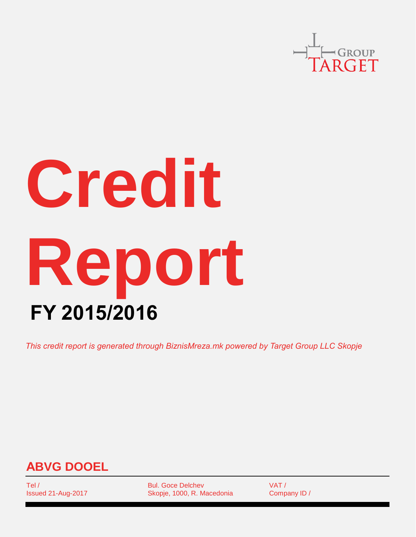

# **Credit Report FY 2015/2016**

*This credit report is generated through BiznisMreza.mk powered by Target Group LLC Skopje*



Tel / Issued 21-Aug-2017 Bul. Goce Delchev Skopje, 1000, R. Macedonia VAT / Company ID /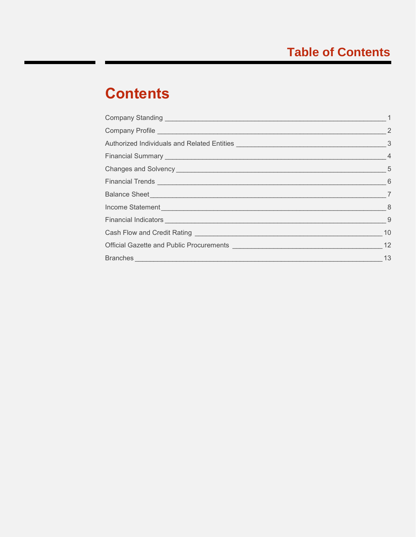# **Contents**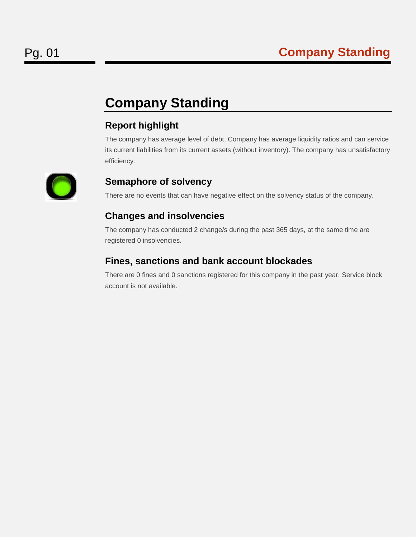## <span id="page-2-0"></span>**Company Standing**

## **Report highlight**

The company has average level of debt, Company has average liquidity ratios and can service its current liabilities from its current assets (without inventory). The company has unsatisfactory efficiency.



### **Semaphore of solvency**

There are no events that can have negative effect on the solvency status of the company.

## **Changes and insolvencies**

The company has conducted 2 change/s during the past 365 days, at the same time are registered 0 insolvencies.

## **Fines, sanctions and bank account blockades**

There are 0 fines and 0 sanctions registered for this company in the past year. Service block account is not available.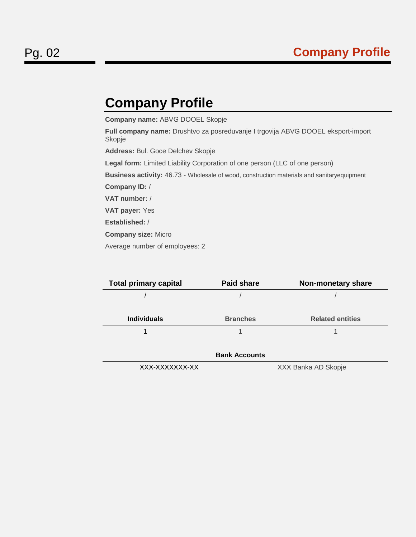## <span id="page-3-0"></span>**Company Profile**

**Company name:** АBVG DOOEL Skopje

**Full company name:** Drushtvo za posreduvanje I trgovija ABVG DOOEL eksport-import Skopje

**Address:** Bul. Goce Delchev Skopje

**Legal form:** Limited Liability Corporation of one person (LLC of one person)

**Business activity:** 46.73 - Wholesale of wood, construction materials and sanitaryequipment

**Company ID:** /

**VAT number:** /

**VAT payer:** Yes

**Established:** /

**Company size:** Micro

Average number of employees: 2

| <b>Total primary capital</b> | <b>Paid share</b>    | <b>Non-monetary share</b> |
|------------------------------|----------------------|---------------------------|
|                              |                      |                           |
|                              |                      |                           |
| <b>Individuals</b>           | <b>Branches</b>      | <b>Related entities</b>   |
|                              |                      |                           |
|                              |                      |                           |
|                              | <b>Bank Accounts</b> |                           |
| XXX-XXXXXXX-XX               |                      | XXX Banka AD Skopje       |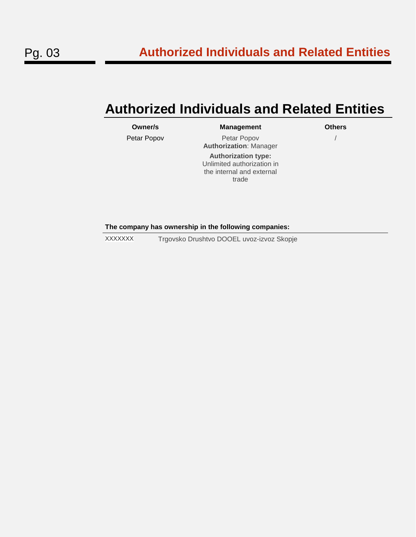## <span id="page-4-0"></span>**Authorized Individuals and Related Entities**

| Owner/s     | <b>Management</b>                                                                              | <b>Others</b> |
|-------------|------------------------------------------------------------------------------------------------|---------------|
| Petar Popov | Petar Popov<br><b>Authorization: Manager</b>                                                   |               |
|             | <b>Authorization type:</b><br>Unlimited authorization in<br>the internal and external<br>trade |               |
|             |                                                                                                |               |

**The company has ownership in the following companies:**

XXXXXXX Trgovsko Drushtvo DOOEL uvoz-izvoz Skopje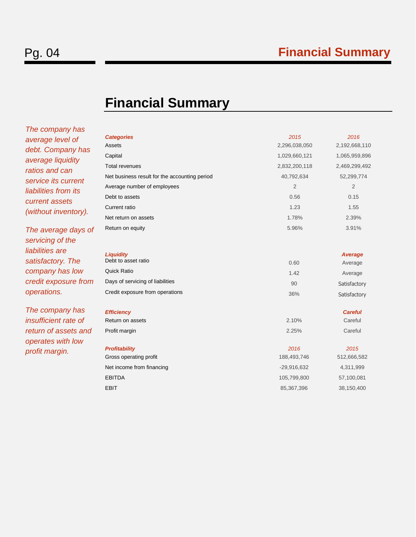## <span id="page-5-0"></span>**Financial Summary**

*The company has average level of debt. Company has average liquidity ratios and can service its current liabilities from its current assets (without inventory).*

*The average days of servicing of the liabilities are satisfactory. The company has low credit exposure from operations.*

*The company has insufficient rate of return of assets and operates with low profit margin.*

| <b>Categories</b>                             | 2015           | 2016           |
|-----------------------------------------------|----------------|----------------|
| Assets                                        | 2,296,038,050  | 2,192,668,110  |
| Capital                                       | 1,029,660,121  | 1,065,959,896  |
| Total revenues                                | 2,832,200,118  | 2,469,299,492  |
| Net business result for the accounting period | 40,792,634     | 52,299,774     |
| Average number of employees                   | $\overline{2}$ | $\overline{2}$ |
| Debt to assets                                | 0.56           | 0.15           |
| Current ratio                                 | 1.23           | 1.55           |
| Net return on assets                          | 1.78%          | 2.39%          |
| Return on equity                              | 5.96%          | 3.91%          |
| <b>Liquidity</b>                              |                | Average        |
| Debt to asset ratio                           | 0.60           | Average        |
| Quick Ratio                                   | 1.42           | Average        |
| Days of servicing of liabilities              | 90             | Satisfactory   |
| Credit exposure from operations               | 36%            | Satisfactory   |
| <b>Efficiency</b>                             |                | <b>Careful</b> |
| Return on assets                              | 2.10%          | Careful        |
| Profit margin                                 | 2.25%          | Careful        |
| <b>Profitability</b>                          | 2016           | 2015           |
| Gross operating profit                        | 188,493,746    | 512,666,582    |
| Net income from financing                     | $-29,916,632$  | 4,311,999      |
| <b>EBITDA</b>                                 | 105,799,800    | 57,100,081     |
| EBIT                                          | 85,367,396     | 38,150,400     |
|                                               |                |                |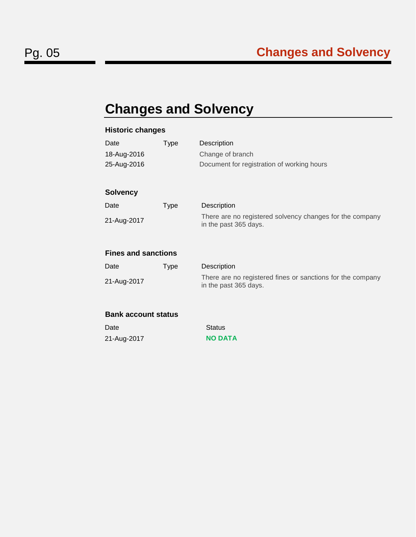# <span id="page-6-0"></span>**Changes and Solvency**

## **Historic changes**

| Date                       | Type        | Description                                                                         |
|----------------------------|-------------|-------------------------------------------------------------------------------------|
| 18-Aug-2016                |             | Change of branch                                                                    |
| 25-Aug-2016                |             | Document for registration of working hours                                          |
|                            |             |                                                                                     |
| <b>Solvency</b>            |             |                                                                                     |
| Date                       | <b>Type</b> | Description                                                                         |
| 21-Aug-2017                |             | There are no registered solvency changes for the company<br>in the past 365 days.   |
| <b>Fines and sanctions</b> |             |                                                                                     |
| Date                       | <b>Type</b> | Description                                                                         |
| 21-Aug-2017                |             | There are no registered fines or sanctions for the company<br>in the past 365 days. |
| Rank account status        |             |                                                                                     |

#### **Bank account status**

| Date        | Status         |
|-------------|----------------|
| 21-Aug-2017 | <b>NO DATA</b> |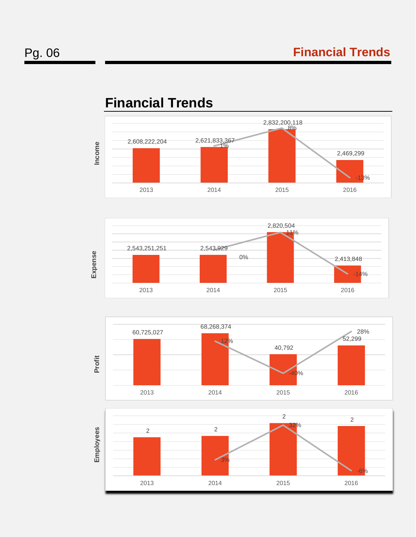

# <span id="page-7-0"></span>**Financial Trends**





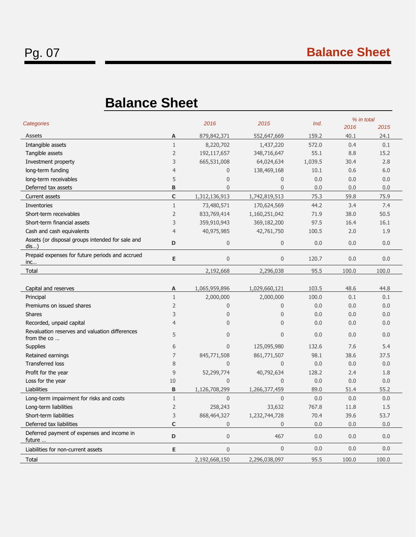# <span id="page-8-0"></span>**Balance Sheet**

| Categories                                                    |                | 2016             | 2015             | Ind.    | % in total |       |
|---------------------------------------------------------------|----------------|------------------|------------------|---------|------------|-------|
|                                                               |                |                  |                  |         | 2016       | 2015  |
| Assets                                                        | A              | 879,842,371      | 552,647,669      | 159.2   | 40.1       | 24.1  |
| Intangible assets                                             | $\mathbf{1}$   | 8,220,702        | 1,437,220        | 572.0   | 0.4        | 0.1   |
| Tangible assets                                               | $\overline{2}$ | 192,117,657      | 348,716,647      | 55.1    | 8.8        | 15.2  |
| Investment property                                           | 3              | 665,531,008      | 64,024,634       | 1,039.5 | 30.4       | 2.8   |
| long-term funding                                             | $\overline{4}$ | $\mathbf{0}$     | 138,469,168      | 10.1    | 0.6        | 6.0   |
| long-term receivables                                         | 5              | $\overline{0}$   | $\Omega$         | 0.0     | 0.0        | 0.0   |
| Deferred tax assets                                           | B              | $\overline{0}$   | $\mathbf{0}$     | 0.0     | 0.0        | 0.0   |
| Current assets                                                | $\mathbf C$    | 1,312,136,913    | 1,742,819,513    | 75.3    | 59.8       | 75.9  |
| Inventories                                                   | $\mathbf{1}$   | 73,480,571       | 170,624,569      | 44.2    | 3.4        | 7.4   |
| Short-term receivables                                        | $\overline{2}$ | 833,769,414      | 1,160,251,042    | 71.9    | 38.0       | 50.5  |
| Short-term financial assets                                   | 3              | 359,910,943      | 369,182,200      | 97.5    | 16.4       | 16.1  |
| Cash and cash equivalents                                     | $\overline{4}$ | 40,975,985       | 42,761,750       | 100.5   | 2.0        | 1.9   |
| Assets (or disposal groups intended for sale and<br>dis)      | D              | $\mathbf 0$      | $\mathbf 0$      | 0.0     | 0.0        | 0.0   |
| Prepaid expenses for future periods and accrued<br>inc        | E              | $\overline{0}$   | $\mathbf 0$      | 120.7   | 0.0        | 0.0   |
| Total                                                         |                | 2,192,668        | 2,296,038        | 95.5    | 100.0      | 100.0 |
|                                                               |                |                  |                  |         |            |       |
| Capital and reserves                                          | A              | 1,065,959,896    | 1,029,660,121    | 103.5   | 48.6       | 44.8  |
| Principal                                                     | $\mathbf{1}$   | 2,000,000        | 2,000,000        | 100.0   | 0.1        | 0.1   |
| Premiums on issued shares                                     | $\overline{2}$ | $\boldsymbol{0}$ | $\boldsymbol{0}$ | 0.0     | 0.0        | 0.0   |
| <b>Shares</b>                                                 | 3              | $\overline{0}$   | $\mathbf 0$      | 0.0     | 0.0        | 0.0   |
| Recorded, unpaid capital                                      | $\overline{4}$ | $\mathbf{0}$     | $\mathbf{0}$     | 0.0     | 0.0        | 0.0   |
| Revaluation reserves and valuation differences<br>from the co | 5              | $\overline{0}$   | $\Omega$         | 0.0     | 0.0        | 0.0   |
| Supplies                                                      | 6              | $\Omega$         | 125,095,980      | 132.6   | 7.6        | 5.4   |
| Retained earnings                                             | $\overline{7}$ | 845,771,508      | 861,771,507      | 98.1    | 38.6       | 37.5  |
| <b>Transferred loss</b>                                       | 8              | $\mathbf 0$      | $\mathbf 0$      | 0.0     | 0.0        | 0.0   |
| Profit for the year                                           | 9              | 52,299,774       | 40,792,634       | 128.2   | 2.4        | 1.8   |
| Loss for the year                                             | 10             | $\overline{0}$   | $\mathbf 0$      | 0.0     | 0.0        | 0.0   |
| Liabilities                                                   | B              | 1,126,708,299    | 1,266,377,459    | 89.0    | 51.4       | 55.2  |
| Long-term impairment for risks and costs                      | $\mathbf{1}$   | $\overline{0}$   | $\overline{0}$   | 0.0     | 0.0        | 0.0   |
| Long-term liabilities                                         | $\overline{2}$ | 258,243          | 33,632           | 767.8   | 11.8       | 1.5   |
| Short-term liabilities                                        | 3              | 868, 464, 327    | 1,232,744,728    | 70.4    | 39.6       | 53.7  |
| Deferred tax liabilities                                      | C              | $\mathbf{0}$     | $\mathbf 0$      | 0.0     | 0.0        | 0.0   |
| Deferred payment of expenses and income in<br>future          | D              | $\boldsymbol{0}$ | 467              | 0.0     | 0.0        | 0.0   |
| Liabilities for non-current assets                            | E              | $\mathbf{0}$     | $\overline{0}$   | 0.0     | 0.0        | 0.0   |
| Total                                                         |                | 2,192,668,150    | 2,296,038,097    | 95.5    | 100.0      | 100.0 |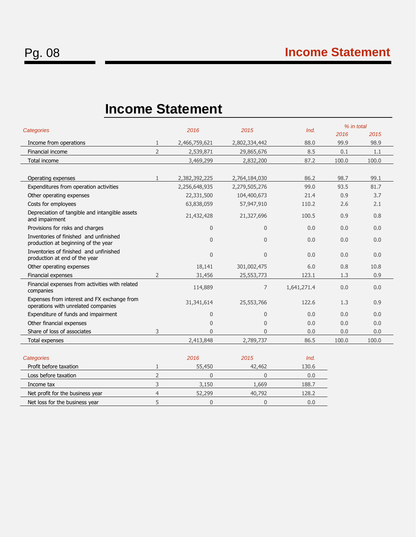## <span id="page-9-0"></span>**Income Statement**

| Categories                                                                         |                | 2016           | 2015           | Ind.        | % in total<br>2016 | 2015  |
|------------------------------------------------------------------------------------|----------------|----------------|----------------|-------------|--------------------|-------|
| Income from operations                                                             | $\mathbf{1}$   | 2,466,759,621  | 2,802,334,442  | 88.0        | 99.9               | 98.9  |
| Financial income                                                                   | $\overline{2}$ | 2,539,871      | 29,865,676     | 8.5         | 0.1                | 1.1   |
| Total income                                                                       |                | 3,469,299      | 2,832,200      | 87.2        | 100.0              | 100.0 |
|                                                                                    |                |                |                |             |                    |       |
| Operating expenses                                                                 | $\mathbf{1}$   | 2,382,392,225  | 2,764,184,030  | 86.2        | 98.7               | 99.1  |
| Expenditures from operation activities                                             |                | 2,256,648,935  | 2,279,505,276  | 99.0        | 93.5               | 81.7  |
| Other operating expenses                                                           |                | 22,331,500     | 104,400,673    | 21.4        | 0.9                | 3.7   |
| Costs for employees                                                                |                | 63,838,059     | 57,947,910     | 110.2       | 2.6                | 2.1   |
| Depreciation of tangible and intangible assets<br>and impairment                   |                | 21,432,428     | 21,327,696     | 100.5       | 0.9                | 0.8   |
| Provisions for risks and charges                                                   |                | $\theta$       | 0              | 0.0         | 0.0                | 0.0   |
| Inventories of finished and unfinished<br>production at beginning of the year      |                | $\overline{0}$ | $\overline{0}$ | 0.0         | 0.0                | 0.0   |
| Inventories of finished and unfinished<br>production at end of the year            |                | $\overline{0}$ | $\overline{0}$ | 0.0         | 0.0                | 0.0   |
| Other operating expenses                                                           |                | 18,141         | 301,002,475    | 6.0         | 0.8                | 10.8  |
| Financial expenses                                                                 | $\overline{2}$ | 31,456         | 25,553,773     | 123.1       | 1.3                | 0.9   |
| Financial expenses from activities with related<br>companies                       |                | 114,889        | $\overline{7}$ | 1,641,271.4 | 0.0                | 0.0   |
| Expenses from interest and FX exchange from<br>operations with unrelated companies |                | 31,341,614     | 25,553,766     | 122.6       | 1.3                | 0.9   |
| Expenditure of funds and impairment                                                |                | $\overline{0}$ | $\overline{0}$ | 0.0         | 0.0                | 0.0   |
| Other financial expenses                                                           |                | $\overline{0}$ | 0              | 0.0         | 0.0                | 0.0   |
| Share of loss of associates                                                        | 3              | $\Omega$       | $\Omega$       | 0.0         | 0.0                | 0.0   |
| Total expenses                                                                     |                | 2,413,848      | 2,789,737      | 86.5        | 100.0              | 100.0 |
|                                                                                    |                |                |                |             |                    |       |
| Categories                                                                         |                | 2016           | 2015           | Ind.        |                    |       |
| Profit before taxation                                                             | 1              | 55,450         | 42,462         | 130.6       |                    |       |
| Loss before taxation                                                               | $\overline{2}$ | $\overline{0}$ | $\overline{0}$ | 0.0         |                    |       |
| Income tax                                                                         | 3              | 3,150          | 1,669          | 188.7       |                    |       |

Net profit for the business year 4 52,299 40,792 128.2 Net loss for the business year 5 0 0 0.0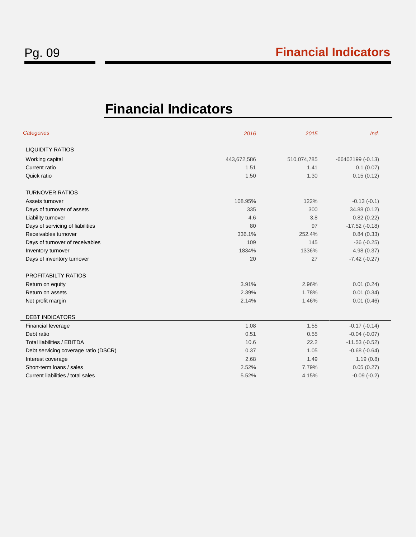# <span id="page-10-0"></span>**Financial Indicators**

| Categories                           | 2016        | 2015        | Ind.               |
|--------------------------------------|-------------|-------------|--------------------|
| <b>LIQUIDITY RATIOS</b>              |             |             |                    |
| Working capital                      | 443,672,586 | 510,074,785 | $-66402199(-0.13)$ |
| Current ratio                        | 1.51        | 1.41        | 0.1(0.07)          |
| Quick ratio                          | 1.50        | 1.30        | 0.15(0.12)         |
| <b>TURNOVER RATIOS</b>               |             |             |                    |
| Assets turnover                      | 108.95%     | 122%        | $-0.13(-0.1)$      |
| Days of turnover of assets           | 335         | 300         | 34.88 (0.12)       |
| Liability turnover                   | 4.6         | 3.8         | 0.82(0.22)         |
| Days of servicing of liabilities     | 80          | 97          | $-17.52$ $(-0.18)$ |
| Receivables turnover                 | 336.1%      | 252.4%      | 0.84(0.33)         |
| Days of turnover of receivables      | 109         | 145         | $-36(-0.25)$       |
| Inventory turnover                   | 1834%       | 1336%       | 4.98(0.37)         |
| Days of inventory turnover           | 20          | 27          | $-7.42$ $(-0.27)$  |
| PROFITABILTY RATIOS                  |             |             |                    |
| Return on equity                     | 3.91%       | 2.96%       | 0.01(0.24)         |
| Return on assets                     | 2.39%       | 1.78%       | 0.01(0.34)         |
| Net profit margin                    | 2.14%       | 1.46%       | 0.01(0.46)         |
| <b>DEBT INDICATORS</b>               |             |             |                    |
| Financial leverage                   | 1.08        | 1.55        | $-0.17(-0.14)$     |
| Debt ratio                           | 0.51        | 0.55        | $-0.04$ $(-0.07)$  |
| <b>Total liabilities / EBITDA</b>    | 10.6        | 22.2        | $-11.53(-0.52)$    |
| Debt servicing coverage ratio (DSCR) | 0.37        | 1.05        | $-0.68(-0.64)$     |
| Interest coverage                    | 2.68        | 1.49        | 1.19(0.8)          |
| Short-term loans / sales             | 2.52%       | 7.79%       | 0.05(0.27)         |
| Current liabilities / total sales    | 5.52%       | 4.15%       | $-0.09(-0.2)$      |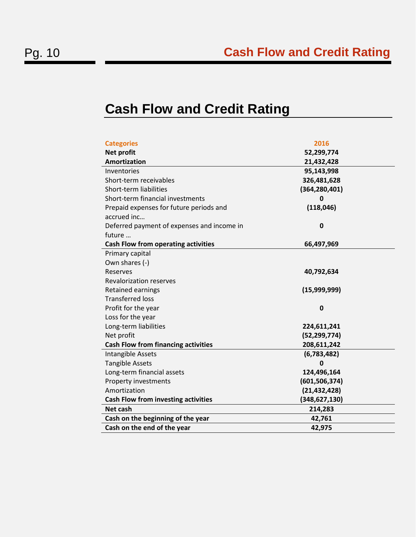## <span id="page-11-0"></span>**Cash Flow and Credit Rating**

| <b>Categories</b>                          | 2016            |
|--------------------------------------------|-----------------|
| <b>Net profit</b>                          | 52,299,774      |
| <b>Amortization</b>                        | 21,432,428      |
| Inventories                                | 95,143,998      |
| Short-term receivables                     | 326,481,628     |
| Short-term liabilities                     | (364, 280, 401) |
| Short-term financial investments           | 0               |
| Prepaid expenses for future periods and    | (118, 046)      |
| accrued inc                                |                 |
| Deferred payment of expenses and income in | 0               |
| future                                     |                 |
| <b>Cash Flow from operating activities</b> | 66,497,969      |
| Primary capital                            |                 |
| Own shares (-)                             |                 |
| Reserves                                   | 40,792,634      |
| <b>Revalorization reserves</b>             |                 |
| Retained earnings                          | (15,999,999)    |
| <b>Transferred loss</b>                    |                 |
| Profit for the year                        | 0               |
| Loss for the year                          |                 |
| Long-term liabilities                      | 224,611,241     |
| Net profit                                 | (52, 299, 774)  |
| <b>Cash Flow from financing activities</b> | 208,611,242     |
| Intangible Assets                          | (6,783,482)     |
| <b>Tangible Assets</b>                     | 0               |
| Long-term financial assets                 | 124,496,164     |
| Property investments                       | (601, 506, 374) |
| Amortization                               | (21, 432, 428)  |
| <b>Cash Flow from investing activities</b> | (348, 627, 130) |
| <b>Net cash</b>                            | 214,283         |
| Cash on the beginning of the year          | 42,761          |
| Cash on the end of the year                | 42,975          |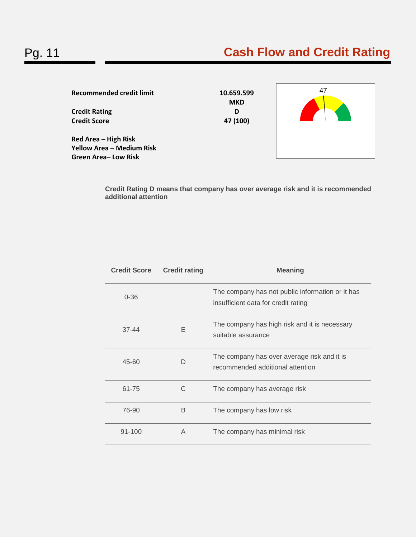# Pg. 11 **Cash Flow and Credit Rating**

| <b>Recommended credit limit</b>                                                 | 10.659.599<br><b>MKD</b> | 47 |
|---------------------------------------------------------------------------------|--------------------------|----|
| <b>Credit Rating</b>                                                            | D                        |    |
| <b>Credit Score</b>                                                             | 47 (100)                 |    |
| Red Area - High Risk<br><b>Yellow Area - Medium Risk</b><br>Green Area-Low Risk |                          |    |

**Credit Rating D means that company has over average risk and it is recommended additional attention** 

| <b>Credit Score</b> | <b>Credit rating</b> | <b>Meaning</b>                                                                          |
|---------------------|----------------------|-----------------------------------------------------------------------------------------|
| $0 - 36$            |                      | The company has not public information or it has<br>insufficient data for credit rating |
| $37 - 44$           | F                    | The company has high risk and it is necessary<br>suitable assurance                     |
| $45 - 60$           | D                    | The company has over average risk and it is<br>recommended additional attention         |
| 61-75               | C                    | The company has average risk                                                            |
| 76-90               | B                    | The company has low risk                                                                |
| $91 - 100$          | A                    | The company has minimal risk                                                            |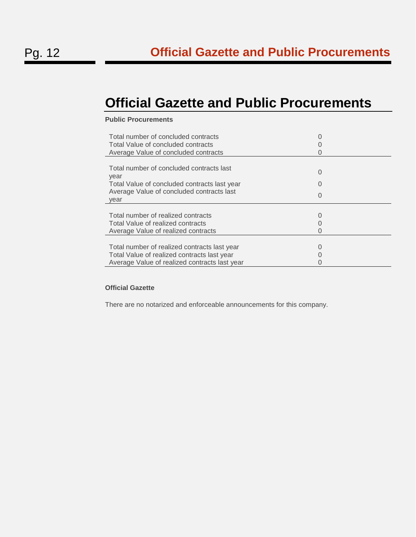## <span id="page-13-0"></span>**Official Gazette and Public Procurements**

## **Public Procurements**

| Total number of concluded contracts<br>Total Value of concluded contracts<br>Average Value of concluded contracts                                     |                                           |
|-------------------------------------------------------------------------------------------------------------------------------------------------------|-------------------------------------------|
| Total number of concluded contracts last<br>year<br>Total Value of concluded contracts last year<br>Average Value of concluded contracts last<br>year | O<br>$\left( \right)$<br>$\left( \right)$ |
| Total number of realized contracts<br>Total Value of realized contracts<br>Average Value of realized contracts                                        |                                           |
| Total number of realized contracts last year<br>Total Value of realized contracts last year<br>Average Value of realized contracts last year          |                                           |

#### **Official Gazette**

There are no notarized and enforceable announcements for this company.